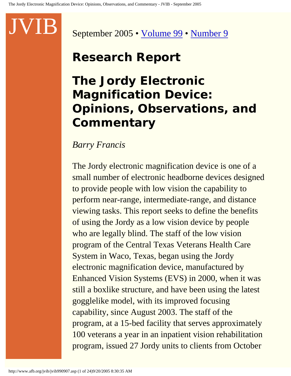September 2005 • [Volume 99](http://www.afb.org/jvib/jvib_main.asp#2005) • [Number 9](http://www.afb.org/jvib/jvib9909toc.asp)

# **Research Report**

# **The Jordy Electronic Magnification Device: Opinions, Observations, and Commentary**

### *Barry Francis*

The Jordy electronic magnification device is one of a small number of electronic headborne devices designed to provide people with low vision the capability to perform near-range, intermediate-range, and distance viewing tasks. This report seeks to define the benefits of using the Jordy as a low vision device by people who are legally blind. The staff of the low vision program of the Central Texas Veterans Health Care System in Waco, Texas, began using the Jordy electronic magnification device, manufactured by Enhanced Vision Systems (EVS) in 2000, when it was still a boxlike structure, and have been using the latest gogglelike model, with its improved focusing capability, since August 2003. The staff of the program, at a 15-bed facility that serves approximately 100 veterans a year in an inpatient vision rehabilitation program, issued 27 Jordy units to clients from October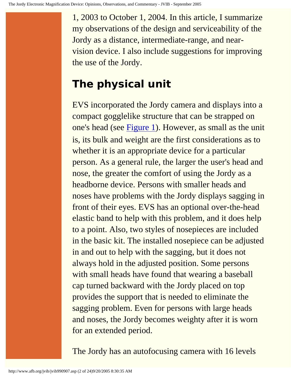1, 2003 to October 1, 2004. In this article, I summarize my observations of the design and serviceability of the Jordy as a distance, intermediate-range, and nearvision device. I also include suggestions for improving the use of the Jordy.

# **The physical unit**

EVS incorporated the Jordy camera and displays into a compact gogglelike structure that can be strapped on one's head (see [Figure 1](http://www.afb.org/jvib/jvib990907fig01.asp)). However, as small as the unit is, its bulk and weight are the first considerations as to whether it is an appropriate device for a particular person. As a general rule, the larger the user's head and nose, the greater the comfort of using the Jordy as a headborne device. Persons with smaller heads and noses have problems with the Jordy displays sagging in front of their eyes. EVS has an optional over-the-head elastic band to help with this problem, and it does help to a point. Also, two styles of nosepieces are included in the basic kit. The installed nosepiece can be adjusted in and out to help with the sagging, but it does not always hold in the adjusted position. Some persons with small heads have found that wearing a baseball cap turned backward with the Jordy placed on top provides the support that is needed to eliminate the sagging problem. Even for persons with large heads and noses, the Jordy becomes weighty after it is worn for an extended period.

The Jordy has an autofocusing camera with 16 levels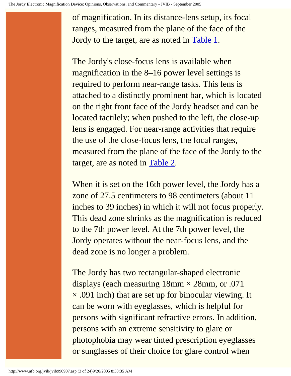of magnification. In its distance-lens setup, its focal ranges, measured from the plane of the face of the Jordy to the target, are as noted in [Table 1.](http://www.afb.org/jvib/jvib990907tab01intro.asp)

The Jordy's close-focus lens is available when magnification in the 8–16 power level settings is required to perform near-range tasks. This lens is attached to a distinctly prominent bar, which is located on the right front face of the Jordy headset and can be located tactilely; when pushed to the left, the close-up lens is engaged. For near-range activities that require the use of the close-focus lens, the focal ranges, measured from the plane of the face of the Jordy to the target, are as noted in [Table 2](http://www.afb.org/jvib/jvib990907tab02intro.asp).

When it is set on the 16th power level, the Jordy has a zone of 27.5 centimeters to 98 centimeters (about 11 inches to 39 inches) in which it will not focus properly. This dead zone shrinks as the magnification is reduced to the 7th power level. At the 7th power level, the Jordy operates without the near-focus lens, and the dead zone is no longer a problem.

The Jordy has two rectangular-shaped electronic displays (each measuring  $18$ mm  $\times$  28mm, or .071  $\times$  .091 inch) that are set up for binocular viewing. It can be worn with eyeglasses, which is helpful for persons with significant refractive errors. In addition, persons with an extreme sensitivity to glare or photophobia may wear tinted prescription eyeglasses or sunglasses of their choice for glare control when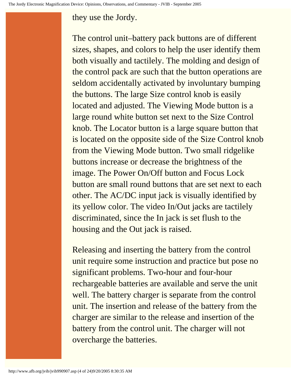#### they use the Jordy.

The control unit–battery pack buttons are of different sizes, shapes, and colors to help the user identify them both visually and tactilely. The molding and design of the control pack are such that the button operations are seldom accidentally activated by involuntary bumping the buttons. The large Size control knob is easily located and adjusted. The Viewing Mode button is a large round white button set next to the Size Control knob. The Locator button is a large square button that is located on the opposite side of the Size Control knob from the Viewing Mode button. Two small ridgelike buttons increase or decrease the brightness of the image. The Power On/Off button and Focus Lock button are small round buttons that are set next to each other. The AC/DC input jack is visually identified by its yellow color. The video In/Out jacks are tactilely discriminated, since the In jack is set flush to the housing and the Out jack is raised.

Releasing and inserting the battery from the control unit require some instruction and practice but pose no significant problems. Two-hour and four-hour rechargeable batteries are available and serve the unit well. The battery charger is separate from the control unit. The insertion and release of the battery from the charger are similar to the release and insertion of the battery from the control unit. The charger will not overcharge the batteries.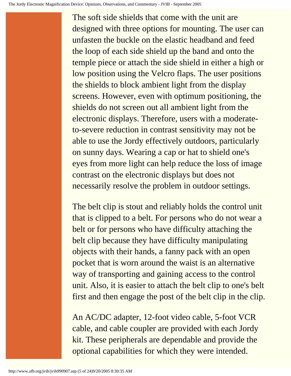The soft side shields that come with the unit are designed with three options for mounting. The user can unfasten the buckle on the elastic headband and feed the loop of each side shield up the band and onto the temple piece or attach the side shield in either a high or low position using the Velcro flaps. The user positions the shields to block ambient light from the display screens. However, even with optimum positioning, the shields do not screen out all ambient light from the electronic displays. Therefore, users with a moderateto-severe reduction in contrast sensitivity may not be able to use the Jordy effectively outdoors, particularly on sunny days. Wearing a cap or hat to shield one's eyes from more light can help reduce the loss of image contrast on the electronic displays but does not necessarily resolve the problem in outdoor settings.

The belt clip is stout and reliably holds the control unit that is clipped to a belt. For persons who do not wear a belt or for persons who have difficulty attaching the belt clip because they have difficulty manipulating objects with their hands, a fanny pack with an open pocket that is worn around the waist is an alternative way of transporting and gaining access to the control unit. Also, it is easier to attach the belt clip to one's belt first and then engage the post of the belt clip in the clip.

An AC/DC adapter, 12-foot video cable, 5-foot VCR cable, and cable coupler are provided with each Jordy kit. These peripherals are dependable and provide the optional capabilities for which they were intended.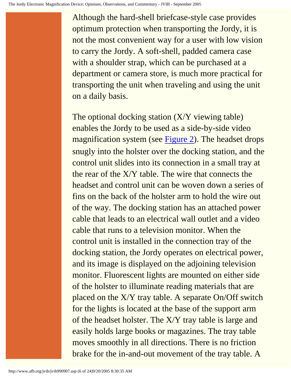Although the hard-shell briefcase-style case provides optimum protection when transporting the Jordy, it is not the most convenient way for a user with low vision to carry the Jordy. A soft-shell, padded camera case with a shoulder strap, which can be purchased at a department or camera store, is much more practical for transporting the unit when traveling and using the unit on a daily basis.

The optional docking station (X/Y viewing table) enables the Jordy to be used as a side-by-side video magnification system (see [Figure 2\)](http://www.afb.org/jvib/jvib990907fig02.asp). The headset drops snugly into the holster over the docking station, and the control unit slides into its connection in a small tray at the rear of the X/Y table. The wire that connects the headset and control unit can be woven down a series of fins on the back of the holster arm to hold the wire out of the way. The docking station has an attached power cable that leads to an electrical wall outlet and a video cable that runs to a television monitor. When the control unit is installed in the connection tray of the docking station, the Jordy operates on electrical power, and its image is displayed on the adjoining television monitor. Fluorescent lights are mounted on either side of the holster to illuminate reading materials that are placed on the X/Y tray table. A separate On/Off switch for the lights is located at the base of the support arm of the headset holster. The X/Y tray table is large and easily holds large books or magazines. The tray table moves smoothly in all directions. There is no friction brake for the in-and-out movement of the tray table. A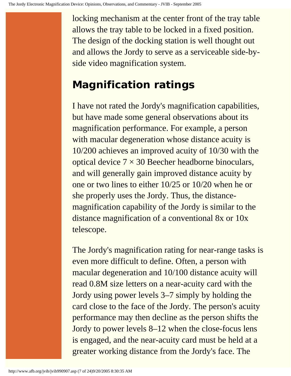locking mechanism at the center front of the tray table allows the tray table to be locked in a fixed position. The design of the docking station is well thought out and allows the Jordy to serve as a serviceable side-byside video magnification system.

# **Magnification ratings**

I have not rated the Jordy's magnification capabilities, but have made some general observations about its magnification performance. For example, a person with macular degeneration whose distance acuity is 10/200 achieves an improved acuity of 10/30 with the optical device  $7 \times 30$  Beecher headborne binoculars, and will generally gain improved distance acuity by one or two lines to either 10/25 or 10/20 when he or she properly uses the Jordy. Thus, the distancemagnification capability of the Jordy is similar to the distance magnification of a conventional 8x or 10x telescope.

The Jordy's magnification rating for near-range tasks is even more difficult to define. Often, a person with macular degeneration and 10/100 distance acuity will read 0.8M size letters on a near-acuity card with the Jordy using power levels 3–7 simply by holding the card close to the face of the Jordy. The person's acuity performance may then decline as the person shifts the Jordy to power levels 8–12 when the close-focus lens is engaged, and the near-acuity card must be held at a greater working distance from the Jordy's face. The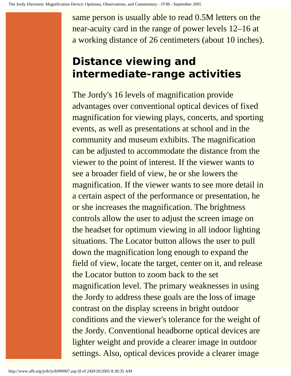same person is usually able to read 0.5M letters on the near-acuity card in the range of power levels 12–16 at a working distance of 26 centimeters (about 10 inches).

# **Distance viewing and intermediate-range activities**

The Jordy's 16 levels of magnification provide advantages over conventional optical devices of fixed magnification for viewing plays, concerts, and sporting events, as well as presentations at school and in the community and museum exhibits. The magnification can be adjusted to accommodate the distance from the viewer to the point of interest. If the viewer wants to see a broader field of view, he or she lowers the magnification. If the viewer wants to see more detail in a certain aspect of the performance or presentation, he or she increases the magnification. The brightness controls allow the user to adjust the screen image on the headset for optimum viewing in all indoor lighting situations. The Locator button allows the user to pull down the magnification long enough to expand the field of view, locate the target, center on it, and release the Locator button to zoom back to the set magnification level. The primary weaknesses in using the Jordy to address these goals are the loss of image contrast on the display screens in bright outdoor conditions and the viewer's tolerance for the weight of the Jordy. Conventional headborne optical devices are lighter weight and provide a clearer image in outdoor settings. Also, optical devices provide a clearer image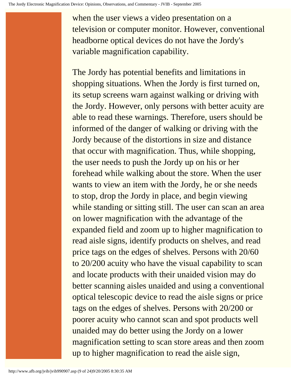when the user views a video presentation on a television or computer monitor. However, conventional headborne optical devices do not have the Jordy's variable magnification capability.

The Jordy has potential benefits and limitations in shopping situations. When the Jordy is first turned on, its setup screens warn against walking or driving with the Jordy. However, only persons with better acuity are able to read these warnings. Therefore, users should be informed of the danger of walking or driving with the Jordy because of the distortions in size and distance that occur with magnification. Thus, while shopping, the user needs to push the Jordy up on his or her forehead while walking about the store. When the user wants to view an item with the Jordy, he or she needs to stop, drop the Jordy in place, and begin viewing while standing or sitting still. The user can scan an area on lower magnification with the advantage of the expanded field and zoom up to higher magnification to read aisle signs, identify products on shelves, and read price tags on the edges of shelves. Persons with 20/60 to 20/200 acuity who have the visual capability to scan and locate products with their unaided vision may do better scanning aisles unaided and using a conventional optical telescopic device to read the aisle signs or price tags on the edges of shelves. Persons with 20/200 or poorer acuity who cannot scan and spot products well unaided may do better using the Jordy on a lower magnification setting to scan store areas and then zoom up to higher magnification to read the aisle sign,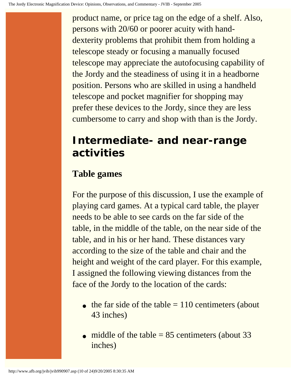product name, or price tag on the edge of a shelf. Also, persons with 20/60 or poorer acuity with handdexterity problems that prohibit them from holding a telescope steady or focusing a manually focused telescope may appreciate the autofocusing capability of the Jordy and the steadiness of using it in a headborne position. Persons who are skilled in using a handheld telescope and pocket magnifier for shopping may prefer these devices to the Jordy, since they are less cumbersome to carry and shop with than is the Jordy.

## **Intermediate- and near-range activities**

## **Table games**

For the purpose of this discussion, I use the example of playing card games. At a typical card table, the player needs to be able to see cards on the far side of the table, in the middle of the table, on the near side of the table, and in his or her hand. These distances vary according to the size of the table and chair and the height and weight of the card player. For this example, I assigned the following viewing distances from the face of the Jordy to the location of the cards:

- $\bullet$  the far side of the table = 110 centimeters (about 43 inches)
- middle of the table  $= 85$  centimeters (about 33 inches)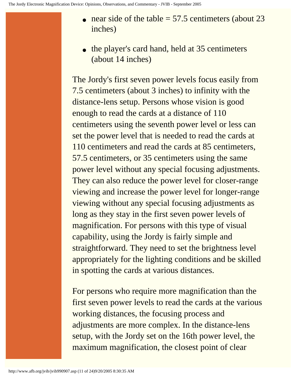- near side of the table  $= 57.5$  centimeters (about 23 inches)
- the player's card hand, held at 35 centimeters (about 14 inches)

The Jordy's first seven power levels focus easily from 7.5 centimeters (about 3 inches) to infinity with the distance-lens setup. Persons whose vision is good enough to read the cards at a distance of 110 centimeters using the seventh power level or less can set the power level that is needed to read the cards at 110 centimeters and read the cards at 85 centimeters, 57.5 centimeters, or 35 centimeters using the same power level without any special focusing adjustments. They can also reduce the power level for closer-range viewing and increase the power level for longer-range viewing without any special focusing adjustments as long as they stay in the first seven power levels of magnification. For persons with this type of visual capability, using the Jordy is fairly simple and straightforward. They need to set the brightness level appropriately for the lighting conditions and be skilled in spotting the cards at various distances.

For persons who require more magnification than the first seven power levels to read the cards at the various working distances, the focusing process and adjustments are more complex. In the distance-lens setup, with the Jordy set on the 16th power level, the maximum magnification, the closest point of clear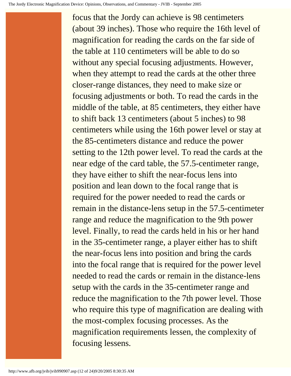focus that the Jordy can achieve is 98 centimeters (about 39 inches). Those who require the 16th level of magnification for reading the cards on the far side of the table at 110 centimeters will be able to do so without any special focusing adjustments. However, when they attempt to read the cards at the other three closer-range distances, they need to make size or focusing adjustments or both. To read the cards in the middle of the table, at 85 centimeters, they either have to shift back 13 centimeters (about 5 inches) to 98 centimeters while using the 16th power level or stay at the 85-centimeters distance and reduce the power setting to the 12th power level. To read the cards at the near edge of the card table, the 57.5-centimeter range, they have either to shift the near-focus lens into position and lean down to the focal range that is required for the power needed to read the cards or remain in the distance-lens setup in the 57.5-centimeter range and reduce the magnification to the 9th power level. Finally, to read the cards held in his or her hand in the 35-centimeter range, a player either has to shift the near-focus lens into position and bring the cards into the focal range that is required for the power level needed to read the cards or remain in the distance-lens setup with the cards in the 35-centimeter range and reduce the magnification to the 7th power level. Those who require this type of magnification are dealing with the most-complex focusing processes. As the magnification requirements lessen, the complexity of focusing lessens.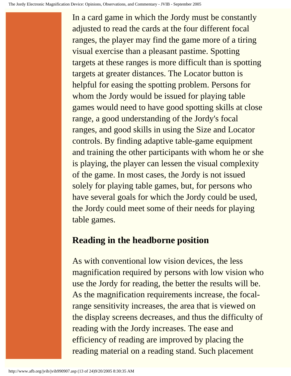In a card game in which the Jordy must be constantly adjusted to read the cards at the four different focal ranges, the player may find the game more of a tiring visual exercise than a pleasant pastime. Spotting targets at these ranges is more difficult than is spotting targets at greater distances. The Locator button is helpful for easing the spotting problem. Persons for whom the Jordy would be issued for playing table games would need to have good spotting skills at close range, a good understanding of the Jordy's focal ranges, and good skills in using the Size and Locator controls. By finding adaptive table-game equipment and training the other participants with whom he or she is playing, the player can lessen the visual complexity of the game. In most cases, the Jordy is not issued solely for playing table games, but, for persons who have several goals for which the Jordy could be used, the Jordy could meet some of their needs for playing table games.

#### **Reading in the headborne position**

As with conventional low vision devices, the less magnification required by persons with low vision who use the Jordy for reading, the better the results will be. As the magnification requirements increase, the focalrange sensitivity increases, the area that is viewed on the display screens decreases, and thus the difficulty of reading with the Jordy increases. The ease and efficiency of reading are improved by placing the reading material on a reading stand. Such placement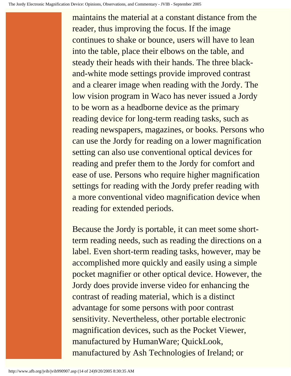maintains the material at a constant distance from the reader, thus improving the focus. If the image continues to shake or bounce, users will have to lean into the table, place their elbows on the table, and steady their heads with their hands. The three blackand-white mode settings provide improved contrast and a clearer image when reading with the Jordy. The low vision program in Waco has never issued a Jordy to be worn as a headborne device as the primary reading device for long-term reading tasks, such as reading newspapers, magazines, or books. Persons who can use the Jordy for reading on a lower magnification setting can also use conventional optical devices for reading and prefer them to the Jordy for comfort and ease of use. Persons who require higher magnification settings for reading with the Jordy prefer reading with a more conventional video magnification device when reading for extended periods.

Because the Jordy is portable, it can meet some shortterm reading needs, such as reading the directions on a label. Even short-term reading tasks, however, may be accomplished more quickly and easily using a simple pocket magnifier or other optical device. However, the Jordy does provide inverse video for enhancing the contrast of reading material, which is a distinct advantage for some persons with poor contrast sensitivity. Nevertheless, other portable electronic magnification devices, such as the Pocket Viewer, manufactured by HumanWare; QuickLook, manufactured by Ash Technologies of Ireland; or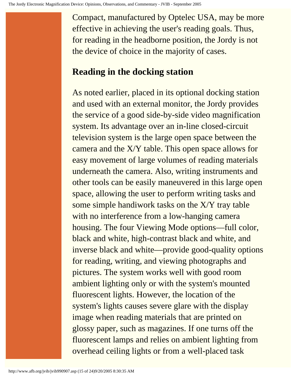Compact, manufactured by Optelec USA, may be more effective in achieving the user's reading goals. Thus, for reading in the headborne position, the Jordy is not the device of choice in the majority of cases.

## **Reading in the docking station**

As noted earlier, placed in its optional docking station and used with an external monitor, the Jordy provides the service of a good side-by-side video magnification system. Its advantage over an in-line closed-circuit television system is the large open space between the camera and the X/Y table. This open space allows for easy movement of large volumes of reading materials underneath the camera. Also, writing instruments and other tools can be easily maneuvered in this large open space, allowing the user to perform writing tasks and some simple handiwork tasks on the X/Y tray table with no interference from a low-hanging camera housing. The four Viewing Mode options—full color, black and white, high-contrast black and white, and inverse black and white—provide good-quality options for reading, writing, and viewing photographs and pictures. The system works well with good room ambient lighting only or with the system's mounted fluorescent lights. However, the location of the system's lights causes severe glare with the display image when reading materials that are printed on glossy paper, such as magazines. If one turns off the fluorescent lamps and relies on ambient lighting from overhead ceiling lights or from a well-placed task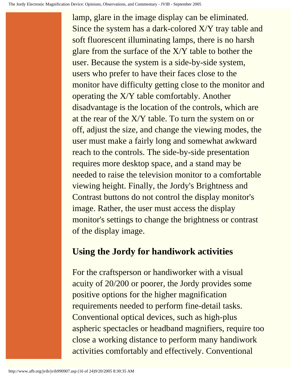lamp, glare in the image display can be eliminated. Since the system has a dark-colored X/Y tray table and soft fluorescent illuminating lamps, there is no harsh glare from the surface of the X/Y table to bother the user. Because the system is a side-by-side system, users who prefer to have their faces close to the monitor have difficulty getting close to the monitor and operating the X/Y table comfortably. Another disadvantage is the location of the controls, which are at the rear of the X/Y table. To turn the system on or off, adjust the size, and change the viewing modes, the user must make a fairly long and somewhat awkward reach to the controls. The side-by-side presentation requires more desktop space, and a stand may be needed to raise the television monitor to a comfortable viewing height. Finally, the Jordy's Brightness and Contrast buttons do not control the display monitor's image. Rather, the user must access the display monitor's settings to change the brightness or contrast of the display image.

## **Using the Jordy for handiwork activities**

For the craftsperson or handiworker with a visual acuity of 20/200 or poorer, the Jordy provides some positive options for the higher magnification requirements needed to perform fine-detail tasks. Conventional optical devices, such as high-plus aspheric spectacles or headband magnifiers, require too close a working distance to perform many handiwork activities comfortably and effectively. Conventional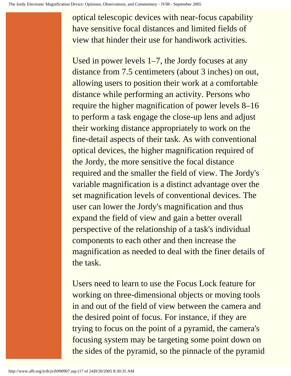optical telescopic devices with near-focus capability have sensitive focal distances and limited fields of view that hinder their use for handiwork activities.

Used in power levels 1–7, the Jordy focuses at any distance from 7.5 centimeters (about 3 inches) on out, allowing users to position their work at a comfortable distance while performing an activity. Persons who require the higher magnification of power levels 8–16 to perform a task engage the close-up lens and adjust their working distance appropriately to work on the fine-detail aspects of their task. As with conventional optical devices, the higher magnification required of the Jordy, the more sensitive the focal distance required and the smaller the field of view. The Jordy's variable magnification is a distinct advantage over the set magnification levels of conventional devices. The user can lower the Jordy's magnification and thus expand the field of view and gain a better overall perspective of the relationship of a task's individual components to each other and then increase the magnification as needed to deal with the finer details of the task.

Users need to learn to use the Focus Lock feature for working on three-dimensional objects or moving tools in and out of the field of view between the camera and the desired point of focus. For instance, if they are trying to focus on the point of a pyramid, the camera's focusing system may be targeting some point down on the sides of the pyramid, so the pinnacle of the pyramid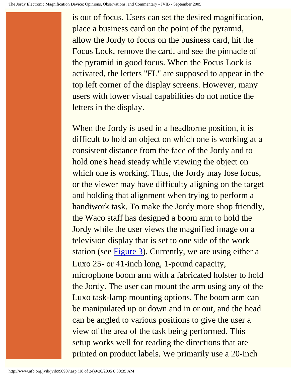is out of focus. Users can set the desired magnification, place a business card on the point of the pyramid, allow the Jordy to focus on the business card, hit the Focus Lock, remove the card, and see the pinnacle of the pyramid in good focus. When the Focus Lock is activated, the letters "FL" are supposed to appear in the top left corner of the display screens. However, many users with lower visual capabilities do not notice the letters in the display.

When the Jordy is used in a headborne position, it is difficult to hold an object on which one is working at a consistent distance from the face of the Jordy and to hold one's head steady while viewing the object on which one is working. Thus, the Jordy may lose focus, or the viewer may have difficulty aligning on the target and holding that alignment when trying to perform a handiwork task. To make the Jordy more shop friendly, the Waco staff has designed a boom arm to hold the Jordy while the user views the magnified image on a television display that is set to one side of the work station (see [Figure 3](http://www.afb.org/jvib/jvib990907fig03.asp)). Currently, we are using either a Luxo 25- or 41-inch long, 1-pound capacity, microphone boom arm with a fabricated holster to hold the Jordy. The user can mount the arm using any of the Luxo task-lamp mounting options. The boom arm can be manipulated up or down and in or out, and the head can be angled to various positions to give the user a view of the area of the task being performed. This setup works well for reading the directions that are printed on product labels. We primarily use a 20-inch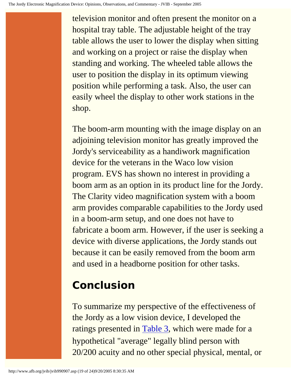television monitor and often present the monitor on a hospital tray table. The adjustable height of the tray table allows the user to lower the display when sitting and working on a project or raise the display when standing and working. The wheeled table allows the user to position the display in its optimum viewing position while performing a task. Also, the user can easily wheel the display to other work stations in the shop.

The boom-arm mounting with the image display on an adjoining television monitor has greatly improved the Jordy's serviceability as a handiwork magnification device for the veterans in the Waco low vision program. EVS has shown no interest in providing a boom arm as an option in its product line for the Jordy. The Clarity video magnification system with a boom arm provides comparable capabilities to the Jordy used in a boom-arm setup, and one does not have to fabricate a boom arm. However, if the user is seeking a device with diverse applications, the Jordy stands out because it can be easily removed from the boom arm and used in a headborne position for other tasks.

# **Conclusion**

To summarize my perspective of the effectiveness of the Jordy as a low vision device, I developed the ratings presented in [Table 3](http://www.afb.org/jvib/jvib990907tab03intro.asp), which were made for a hypothetical "average" legally blind person with 20/200 acuity and no other special physical, mental, or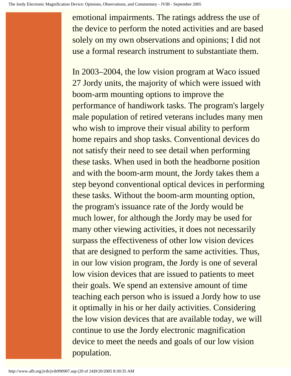emotional impairments. The ratings address the use of the device to perform the noted activities and are based solely on my own observations and opinions; I did not use a formal research instrument to substantiate them.

In 2003–2004, the low vision program at Waco issued 27 Jordy units, the majority of which were issued with boom-arm mounting options to improve the performance of handiwork tasks. The program's largely male population of retired veterans includes many men who wish to improve their visual ability to perform home repairs and shop tasks. Conventional devices do not satisfy their need to see detail when performing these tasks. When used in both the headborne position and with the boom-arm mount, the Jordy takes them a step beyond conventional optical devices in performing these tasks. Without the boom-arm mounting option, the program's issuance rate of the Jordy would be much lower, for although the Jordy may be used for many other viewing activities, it does not necessarily surpass the effectiveness of other low vision devices that are designed to perform the same activities. Thus, in our low vision program, the Jordy is one of several low vision devices that are issued to patients to meet their goals. We spend an extensive amount of time teaching each person who is issued a Jordy how to use it optimally in his or her daily activities. Considering the low vision devices that are available today, we will continue to use the Jordy electronic magnification device to meet the needs and goals of our low vision population.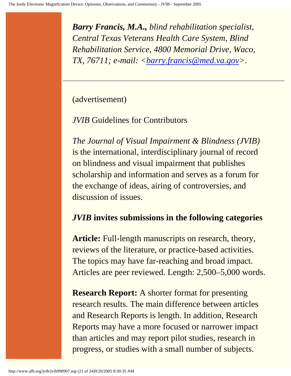*Barry Francis, M.A., blind rehabilitation specialist, Central Texas Veterans Health Care System, Blind Rehabilitation Service, 4800 Memorial Drive, Waco, TX, 76711; e-mail: [<barry.francis@med.va.gov](mailto:barry.francis@med.va.gov)>.*

(advertisement)

*JVIB* Guidelines for Contributors

*The Journal of Visual Impairment & Blindness (JVIB)* is the international, interdisciplinary journal of record on blindness and visual impairment that publishes scholarship and information and serves as a forum for the exchange of ideas, airing of controversies, and discussion of issues.

#### *JVIB* **invites submissions in the following categories**

**Article:** Full-length manuscripts on research, theory, reviews of the literature, or practice-based activities. The topics may have far-reaching and broad impact. Articles are peer reviewed. Length: 2,500–5,000 words.

**Research Report:** A shorter format for presenting research results. The main difference between articles and Research Reports is length. In addition, Research Reports may have a more focused or narrower impact than articles and may report pilot studies, research in progress, or studies with a small number of subjects.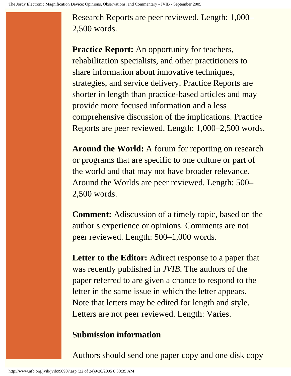Research Reports are peer reviewed. Length: 1,000– 2,500 words.

**Practice Report:** An opportunity for teachers, rehabilitation specialists, and other practitioners to share information about innovative techniques, strategies, and service delivery. Practice Reports are shorter in length than practice-based articles and may provide more focused information and a less comprehensive discussion of the implications. Practice Reports are peer reviewed. Length: 1,000–2,500 words.

**Around the World:** A forum for reporting on research or programs that are specific to one culture or part of the world and that may not have broader relevance. Around the Worlds are peer reviewed. Length: 500– 2,500 words.

**Comment:** Adiscussion of a timely topic, based on the author s experience or opinions. Comments are not peer reviewed. Length: 500–1,000 words.

**Letter to the Editor:** Adirect response to a paper that was recently published in *JVIB*. The authors of the paper referred to are given a chance to respond to the letter in the same issue in which the letter appears. Note that letters may be edited for length and style. Letters are not peer reviewed. Length: Varies.

## **Submission information**

Authors should send one paper copy and one disk copy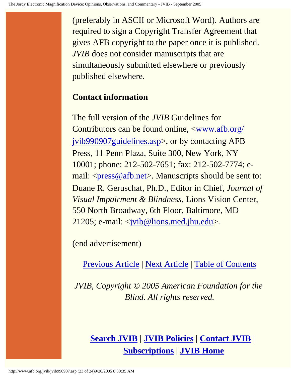(preferably in ASCII or Microsoft Word). Authors are required to sign a Copyright Transfer Agreement that gives AFB copyright to the paper once it is published. *JVIB* does not consider manuscripts that are simultaneously submitted elsewhere or previously published elsewhere.

#### **Contact information**

The full version of the *JVIB* Guidelines for Contributors can be found online,  $\langle$ www.afb.org/ [jvib990907guidelines.asp>](http://www.afb.org/jvib990907guidelines.asp), or by contacting AFB Press, 11 Penn Plaza, Suite 300, New York, NY 10001; phone: 212-502-7651; fax: 212-502-7774; e-mail: [<press@afb.net>](mailto:press@afb.net). Manuscripts should be sent to: Duane R. Geruschat, Ph.D., Editor in Chief, *Journal of Visual Impairment & Blindness*, Lions Vision Center, 550 North Broadway, 6th Floor, Baltimore, MD 21205; e-mail: <[jvib@lions.med.jhu.edu>](mailto:jvib@lions.med.jhu.edu).

(end advertisement)

[Previous Article](http://www.afb.org/jvib/jvib990906.asp) | [Next Article](http://www.afb.org/jvib/jvib990908.asp) | [Table of Contents](http://www.afb.org/jvib/jvib9909toc.asp)

*JVIB, Copyright © 2005 American Foundation for the Blind. All rights reserved.*

## **[Search JVIB](http://www.afb.org/jvib/JVIB_search.asp) | [JVIB Policies](http://www.afb.org/jvib.asp) | [Contact JVIB](http://www.afb.org/jvib/contact_jvib.asp) | [Subscriptions](http://www.afb.org/store/journal_view.asp?name=Journal+of+Visual+Impairment+%26+Blindness&mscssid=) | [JVIB Home](http://www.afb.org/jvib/main.asp)**